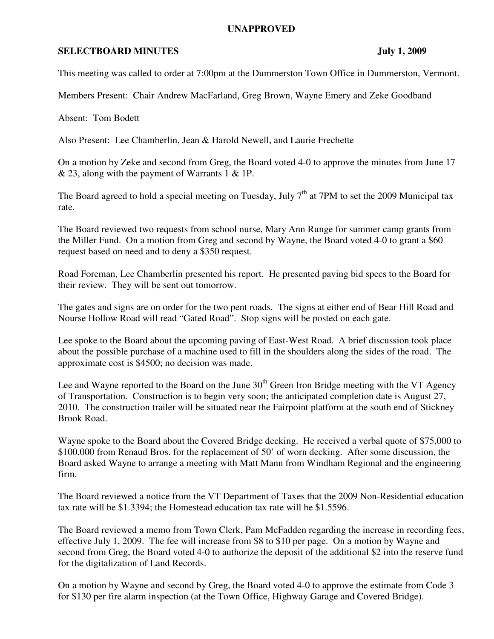## **UNAPPROVED**

## **SELECTBOARD MINUTES** July 1, 2009

This meeting was called to order at 7:00pm at the Dummerston Town Office in Dummerston, Vermont.

Members Present: Chair Andrew MacFarland, Greg Brown, Wayne Emery and Zeke Goodband

Absent: Tom Bodett

Also Present: Lee Chamberlin, Jean & Harold Newell, and Laurie Frechette

On a motion by Zeke and second from Greg, the Board voted 4-0 to approve the minutes from June 17 & 23, along with the payment of Warrants 1 & 1P.

The Board agreed to hold a special meeting on Tuesday, July  $7<sup>th</sup>$  at 7PM to set the 2009 Municipal tax rate.

The Board reviewed two requests from school nurse, Mary Ann Runge for summer camp grants from the Miller Fund. On a motion from Greg and second by Wayne, the Board voted 4-0 to grant a \$60 request based on need and to deny a \$350 request.

Road Foreman, Lee Chamberlin presented his report. He presented paving bid specs to the Board for their review. They will be sent out tomorrow.

The gates and signs are on order for the two pent roads. The signs at either end of Bear Hill Road and Nourse Hollow Road will read "Gated Road". Stop signs will be posted on each gate.

Lee spoke to the Board about the upcoming paving of East-West Road. A brief discussion took place about the possible purchase of a machine used to fill in the shoulders along the sides of the road. The approximate cost is \$4500; no decision was made.

Lee and Wayne reported to the Board on the June  $30<sup>th</sup>$  Green Iron Bridge meeting with the VT Agency of Transportation. Construction is to begin very soon; the anticipated completion date is August 27, 2010. The construction trailer will be situated near the Fairpoint platform at the south end of Stickney Brook Road.

Wayne spoke to the Board about the Covered Bridge decking. He received a verbal quote of \$75,000 to \$100,000 from Renaud Bros. for the replacement of 50' of worn decking. After some discussion, the Board asked Wayne to arrange a meeting with Matt Mann from Windham Regional and the engineering firm.

The Board reviewed a notice from the VT Department of Taxes that the 2009 Non-Residential education tax rate will be \$1.3394; the Homestead education tax rate will be \$1.5596.

The Board reviewed a memo from Town Clerk, Pam McFadden regarding the increase in recording fees, effective July 1, 2009. The fee will increase from \$8 to \$10 per page. On a motion by Wayne and second from Greg, the Board voted 4-0 to authorize the deposit of the additional \$2 into the reserve fund for the digitalization of Land Records.

On a motion by Wayne and second by Greg, the Board voted 4-0 to approve the estimate from Code 3 for \$130 per fire alarm inspection (at the Town Office, Highway Garage and Covered Bridge).